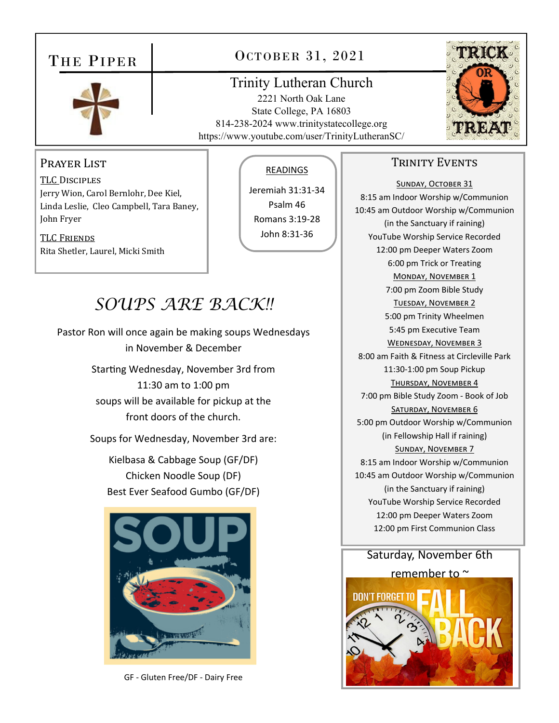# THE PIPER



# OCTOBER 31, 2021

## Trinity Lutheran Church

2221 North Oak Lane State College, PA 16803 814-238-2024 www.trinitystatecollege.org https://www.youtube.com/user/TrinityLutheranSC/



## PRAYER LIST

TLC DISCIPLES Jerry Wion, Carol Bernlohr, Dee Kiel, Linda Leslie, Cleo Campbell, Tara Baney, John Fryer

## TLC FRIENDS Rita Shetler, Laurel, Micki Smith

### READINGS

Jeremiah 31:31‐34 Psalm 46 Romans 3:19‐28 John 8:31‐36

# *SOUPS ARE BACK!!*

Pastor Ron will once again be making soups Wednesdays in November & December Starting Wednesday, November 3rd from 11:30 am to 1:00 pm soups will be available for pickup at the front doors of the church.

Soups for Wednesday, November 3rd are:

Kielbasa & Cabbage Soup (GF/DF) Chicken Noodle Soup (DF) Best Ever Seafood Gumbo (GF/DF)



GF ‐ Gluten Free/DF ‐ Dairy Free

## TRINITY EVENTS

SUNDAY, OCTOBER 31 8:15 am Indoor Worship w/Communion 10:45 am Outdoor Worship w/Communion (in the Sanctuary if raining) YouTube Worship Service Recorded 12:00 pm Deeper Waters Zoom 6:00 pm Trick or Treating MONDAY, NOVEMBER 1 7:00 pm Zoom Bible Study TUESDAY, NOVEMBER 2 5:00 pm Trinity Wheelmen 5:45 pm Executive Team WEDNESDAY, NOVEMBER 3 8:00 am Faith & Fitness at Circleville Park 11:30‐1:00 pm Soup Pickup THURSDAY, NOVEMBER 4 7:00 pm Bible Study Zoom ‐ Book of Job SATURDAY, NOVEMBER 6 5:00 pm Outdoor Worship w/Communion (in Fellowship Hall if raining) SUNDAY, NOVEMBER 7 8:15 am Indoor Worship w/Communion 10:45 am Outdoor Worship w/Communion (in the Sanctuary if raining) YouTube Worship Service Recorded 12:00 pm Deeper Waters Zoom 12:00 pm First Communion Class

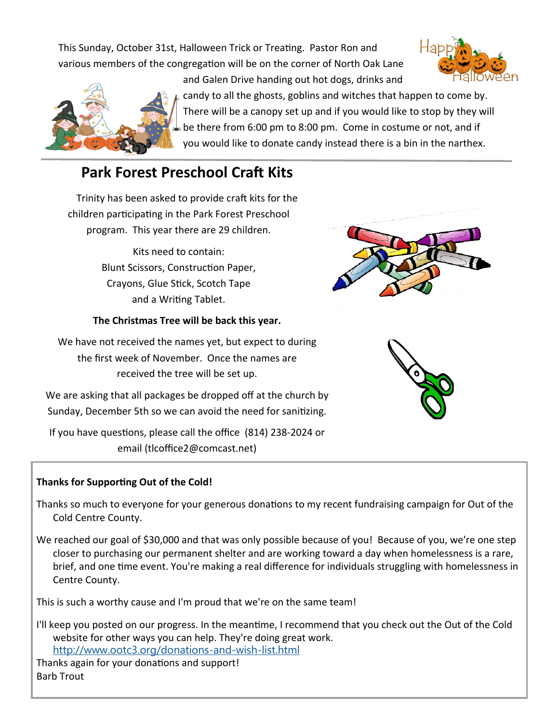This Sunday, October 31st, Halloween Trick or Treating. Pastor Ron and various members of the congregation will be on the corner of North Oak Lane





candy to all the ghosts, goblins and witches that happen to come by. There will be a canopy set up and if you would like to stop by they will be there from 6:00 pm to 8:00 pm. Come in costume or not, and if you would like to donate candy instead there is a bin in the narthex.

# **Park Forest Preschool Craft Kits**

Trinity has been asked to provide craft kits for the children participating in the Park Forest Preschool program. This year there are 29 children.

> Kits need to contain: Blunt Scissors, Construction Paper, Crayons, Glue Stick, Scotch Tape and a Writing Tablet.

#### **The Christmas Tree will be back this year.**

We have not received the names yet, but expect to during the first week of November. Once the names are received the tree will be set up.

We are asking that all packages be dropped off at the church by Sunday, December 5th so we can avoid the need for sanitizing.

If you have questions, please call the office (814) 238-2024 or email (tlcoffice2@comcast.net)

## **Thanks for SupporƟng Out of the Cold!**

Thanks so much to everyone for your generous donations to my recent fundraising campaign for Out of the Cold Centre County.

We reached our goal of \$30,000 and that was only possible because of you! Because of you, we're one step closer to purchasing our permanent shelter and are working toward a day when homelessness is a rare, brief, and one time event. You're making a real difference for individuals struggling with homelessness in Centre County.

This is such a worthy cause and I'm proud that we're on the same team!

I'll keep you posted on our progress. In the meantime, I recommend that you check out the Out of the Cold website for other ways you can help. They're doing great work. http://www.ootc3.org/donations-and-wish-list.html

Thanks again for your donations and support! Barb Trout